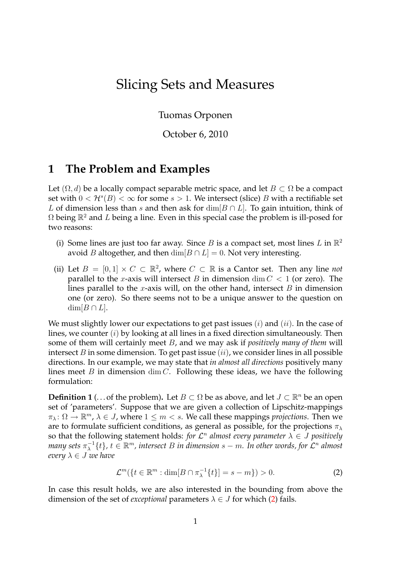# Slicing Sets and Measures

Tuomas Orponen

October 6, 2010

## **1 The Problem and Examples**

Let  $(\Omega, d)$  be a locally compact separable metric space, and let  $B \subset \Omega$  be a compact set with  $0 < H^s(B) < \infty$  for some  $s > 1$ . We intersect (slice) B with a rectifiable set L of dimension less than s and then ask for  $\dim[B \cap L]$ . To gain intuition, think of  $\Omega$  being  $\mathbb{R}^2$  and L being a line. Even in this special case the problem is ill-posed for two reasons:

- (i) Some lines are just too far away. Since B is a compact set, most lines L in  $\mathbb{R}^2$ avoid *B* altogether, and then  $\dim[B \cap L] = 0$ . Not very interesting.
- (ii) Let  $B = [0, 1] \times C \subset \mathbb{R}^2$ , where  $C \subset \mathbb{R}$  is a Cantor set. Then any line *not* parallel to the x-axis will intersect B in dimension dim  $C < 1$  (or zero). The lines parallel to the x-axis will, on the other hand, intersect  $B$  in dimension one (or zero). So there seems not to be a unique answer to the question on  $dim[B \cap L].$

We must slightly lower our expectations to get past issues  $(i)$  and  $(ii)$ . In the case of lines, we counter  $(i)$  by looking at all lines in a fixed direction simultaneously. Then some of them will certainly meet B, and we may ask if *positively many of them* will intersect B in some dimension. To get past issue  $(ii)$ , we consider lines in all possible directions. In our example, we may state that *in almost all directions* positively many lines meet B in dimension  $\dim C$ . Following these ideas, we have the following formulation:

<span id="page-0-1"></span>**Definition 1** (... of the problem). Let  $B \subset \Omega$  be as above, and let  $J \subset \mathbb{R}^n$  be an open set of 'parameters'. Suppose that we are given a collection of Lipschitz-mappings  $\pi_{\lambda} \colon \Omega \to \mathbb{R}^m$ ,  $\lambda \in J$ , where  $1 \leq m < s$ . We call these mappings *projections*. Then we are to formulate sufficient conditions, as general as possible, for the projections  $\pi_{\lambda}$ so that the following statement holds: *for*  $\mathcal{L}^n$  *almost every parameter*  $\lambda \in J$  *positively* many sets  $\pi_{\lambda}^{-1}$  $\lambda^{-1}\{t\}$ ,  $t \in \mathbb{R}^m$ , intersect B in dimension  $s - m$ . In other words, for  $\mathcal{L}^n$  almost *every*  $\lambda \in J$  *we have* 

<span id="page-0-0"></span>
$$
\mathcal{L}^m(\lbrace t \in \mathbb{R}^m : \dim[B \cap \pi_\lambda^{-1}\lbrace t \rbrace] = s - m \rbrace) > 0. \tag{2}
$$

In case this result holds, we are also interested in the bounding from above the dimension of the set of *exceptional* parameters  $\lambda \in J$  for which [\(2\)](#page-0-0) fails.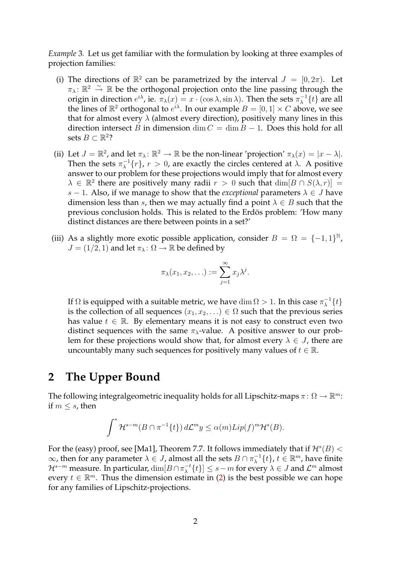*Example* 3*.* Let us get familiar with the formulation by looking at three examples of projection families:

- (i) The directions of  $\mathbb{R}^2$  can be parametrized by the interval  $J = [0, 2\pi)$ . Let  $\pi_{\lambda}$ :  $\mathbb{R}^2 \stackrel{\sim}{\rightarrow} \mathbb{R}$  be the orthogonal projection onto the line passing through the origin in direction  $e^{i\lambda}$ , ie.  $\pi_\lambda(x) = x \cdot (\cos \lambda, \sin \lambda)$ . Then the sets  $\pi_\lambda^{-1}$  $\lambda^{-1}\{t\}$  are all the lines of  $\mathbb{R}^2$  orthogonal to  $e^{i\lambda}$ . In our example  $B = [0, 1] \times C$  above, we see that for almost every  $\lambda$  (almost every direction), positively many lines in this direction intersect B in dimension dim  $C = \dim B - 1$ . Does this hold for all sets  $B \subset \mathbb{R}^2$ ?
- (ii) Let  $J = \mathbb{R}^2$ , and let  $\pi_{\lambda} \colon \mathbb{R}^2 \to \mathbb{R}$  be the non-linear 'projection'  $\pi_{\lambda}(x) = |x \lambda|$ . Then the sets  $\pi_{\lambda}^{-1}$  $\lambda^{-1}\{r\}$ ,  $r > 0$ , are exactly the circles centered at  $\lambda$ . A positive answer to our problem for these projections would imply that for almost every  $\lambda \in \mathbb{R}^2$  there are positively many radii  $r > 0$  such that  $\dim[B \cap S(\lambda, r)] =$ s – 1. Also, if we manage to show that the *exceptional* parameters  $\lambda \in J$  have dimension less than s, then we may actually find a point  $\lambda \in B$  such that the previous conclusion holds. This is related to the Erdös problem: 'How many distinct distances are there between points in a set?'
- (iii) As a slightly more exotic possible application, consider  $B = \Omega = \{-1, 1\}^{\mathbb{N}}$ ,  $J = (1/2, 1)$  and let  $\pi_{\lambda} : \Omega \to \mathbb{R}$  be defined by

$$
\pi_{\lambda}(x_1, x_2, \ldots) := \sum_{j=1}^{\infty} x_j \lambda^j.
$$

If  $\Omega$  is equipped with a suitable metric, we have  $\dim \Omega > 1.$  In this case  $\pi_{\lambda}^{-1}$  $\lambda^{-1}\{t\}$ is the collection of all sequences  $(x_1, x_2, ...) \in \Omega$  such that the previous series has value  $t \in \mathbb{R}$ . By elementary means it is not easy to construct even two distinct sequences with the same  $\pi_{\lambda}$ -value. A positive answer to our problem for these projections would show that, for almost every  $\lambda \in J$ , there are uncountably many such sequences for positively many values of  $t \in \mathbb{R}$ .

### **2 The Upper Bound**

The following integralgeometric inequality holds for all Lipschitz-maps  $\pi: \Omega \to \mathbb{R}^m$ : if  $m \leq s$ , then

$$
\int^* \mathcal{H}^{s-m}(B \cap \pi^{-1}\{t\}) d\mathcal{L}^m y \le \alpha(m) Lip(f)^m \mathcal{H}^s(B).
$$

For the (easy) proof, see [\[Ma1\]](#page-4-0), Theorem 7.7. It follows immediately that if  $\mathcal{H}^s(B)$  <  $\infty$ , then for any parameter  $\lambda \in J$ , almost all the sets  $B \cap \pi_{\lambda}^{-1}$  $\{t\}, t \in \mathbb{R}^m$ , have finite  $\mathcal{H}^{s-m}$  measure. In particular,  $\dim[B \cap \pi_\lambda^{-t}]$  $\{\mathcal{L}^{\mathcal{A}}_{\lambda}\{t\}\}\leq s-m$  for every  $\lambda\in J$  and  $\mathcal{L}^m$  almost every  $t \in \mathbb{R}^m$ . Thus the dimension estimate in [\(2\)](#page-0-0) is the best possible we can hope for any families of Lipschitz-projections.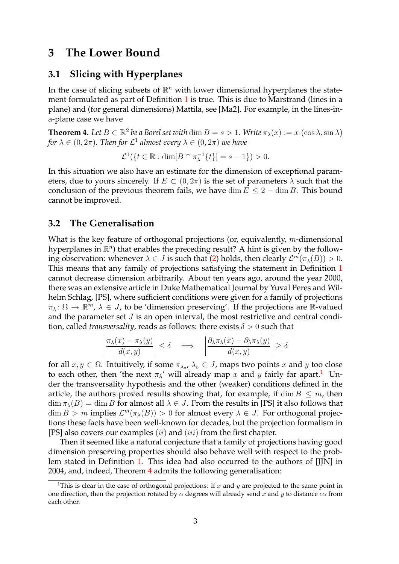### **3 The Lower Bound**

#### **3.1 Slicing with Hyperplanes**

In the case of slicing subsets of  $\mathbb{R}^n$  with lower dimensional hyperplanes the state-ment formulated as part of Definition [1](#page-0-1) is true. This is due to Marstrand (lines in a plane) and (for general dimensions) Mattila, see [\[Ma2\]](#page-4-1). For example, in the lines-ina-plane case we have

<span id="page-2-1"></span>**Theorem 4.** Let  $B \subset \mathbb{R}^2$  be a Borel set with  $\dim B = s > 1$ . Write  $\pi_\lambda(x) := x \cdot (\cos \lambda, \sin \lambda)$ for  $\lambda \in (0, 2\pi)$ . Then for  $\mathcal{L}^1$  almost every  $\lambda \in (0, 2\pi)$  we have

$$
\mathcal{L}^1(\{t \in \mathbb{R} : \dim[B \cap \pi_{\lambda}^{-1}\{t\}] = s - 1\}) > 0.
$$

In this situation we also have an estimate for the dimension of exceptional parameters, due to yours sincerely. If  $E \subset (0, 2\pi)$  is the set of parameters  $\lambda$  such that the conclusion of the previous theorem fails, we have dim  $E \leq 2 - \dim B$ . This bound cannot be improved.

#### **3.2 The Generalisation**

What is the key feature of orthogonal projections (or, equivalently, *m*-dimensional hyperplanes in  $\mathbb{R}^n$ ) that enables the preceding result? A hint is given by the following observation: whenever  $\lambda \in J$  is such that [\(2\)](#page-0-0) holds, then clearly  $\mathcal{L}^m(\pi_\lambda(B)) > 0$ . This means that any family of projections satisfying the statement in Definition [1](#page-0-1) cannot decrease dimension arbitrarily. About ten years ago, around the year 2000, there was an extensive article in Duke Mathematical Journal by Yuval Peres and Wilhelm Schlag, [\[PS\]](#page-4-2), where sufficient conditions were given for a family of projections  $\pi_\lambda\colon\Omega\to\mathbb{R}^m$ ,  $\lambda\in J$ , to be 'dimension preserving'. If the projections are  $\mathbb{R}$ -valued and the parameter set  $J$  is an open interval, the most restrictive and central condition, called *transversality*, reads as follows: there exists  $\delta > 0$  such that

$$
\left| \frac{\pi_{\lambda}(x) - \pi_{\lambda}(y)}{d(x, y)} \right| \le \delta \quad \Longrightarrow \quad \left| \frac{\partial_{\lambda} \pi_{\lambda}(x) - \partial_{\lambda} \pi_{\lambda}(y)}{d(x, y)} \right| \ge \delta
$$

for all  $x, y \in \Omega$ . Intuitively, if some  $\pi_{\lambda_o}, \lambda_o \in J$ , maps two points x and y too close to each other, then 'the next  $\pi_{\lambda}$ ' will already map x and y fairly far apart.<sup>[1](#page-2-0)</sup> Under the transversality hypothesis and the other (weaker) conditions defined in the article, the authors proved results showing that, for example, if  $\dim B \leq m$ , then  $\dim \pi_\lambda(B) = \dim B$  for almost all  $\lambda \in J$ . From the results in [\[PS\]](#page-4-2) it also follows that  $\dim B > m$  implies  $\mathcal{L}^m(\pi_\lambda(B)) > 0$  for almost every  $\lambda \in J$ . For orthogonal projections these facts have been well-known for decades, but the projection formalism in [\[PS\]](#page-4-2) also covers our examples  $(ii)$  and  $(iii)$  from the first chapter.

Then it seemed like a natural conjecture that a family of projections having good dimension preserving properties should also behave well with respect to the problem stated in Definition [1.](#page-0-1) This idea had also occurred to the authors of [\[JJN\]](#page-4-3) in 2004, and, indeed, Theorem [4](#page-2-1) admits the following generalisation:

<span id="page-2-2"></span><span id="page-2-0"></span><sup>&</sup>lt;sup>1</sup>This is clear in the case of orthogonal projections: if  $x$  and  $y$  are projected to the same point in one direction, then the projection rotated by  $\alpha$  degrees will already send x and y to distance  $c\alpha$  from each other.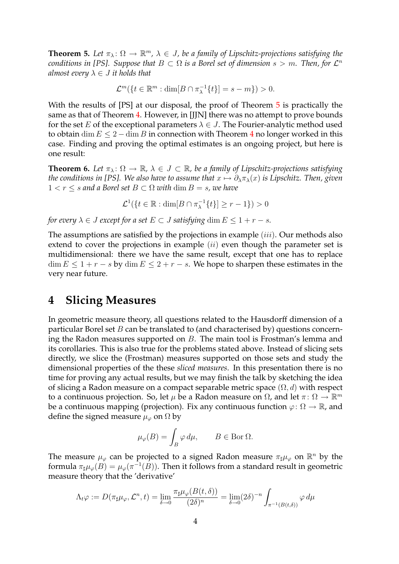**Theorem 5.** Let  $\pi_{\lambda} \colon \Omega \to \mathbb{R}^m$ ,  $\lambda \in J$ , be a family of Lipschitz-projections satisfying the *conditions in [\[PS\]](#page-4-2). Suppose that*  $B \subset \Omega$  *is a Borel set of dimension s > m. Then, for*  $\mathcal{L}^n$ *almost every*  $\lambda \in J$  *it holds that* 

$$
\mathcal{L}^m(\lbrace t \in \mathbb{R}^m : \dim[B \cap \pi_\lambda^{-1}\lbrace t \rbrace] = s - m \rbrace) > 0.
$$

With the results of [\[PS\]](#page-4-2) at our disposal, the proof of Theorem [5](#page-2-2) is practically the same as that of Theorem [4.](#page-2-1) However, in [\[JJN\]](#page-4-3) there was no attempt to prove bounds for the set E of the exceptional parameters  $\lambda \in J$ . The Fourier-analytic method used to obtain dim  $E \le 2 - \dim B$  in connection with Theorem [4](#page-2-1) no longer worked in this case. Finding and proving the optimal estimates is an ongoing project, but here is one result:

**Theorem 6.** Let  $\pi_{\lambda} : \Omega \to \mathbb{R}$ ,  $\lambda \in J \subset \mathbb{R}$ , be a family of Lipschitz-projections satisfying *the conditions in [\[PS\]](#page-4-2). We also have to assume that*  $x \mapsto \partial_{\lambda} \pi_{\lambda}(x)$  *is Lipschitz. Then, given*  $1 < r \leq s$  *and a Borel set*  $B \subset \Omega$  *with* dim  $B = s$ *, we have* 

$$
\mathcal{L}^1(\{t\in\mathbb{R}:\dim[B\cap\pi^{-1}_\lambda\{t\}]\geq r-1\})>0
$$

*for every*  $\lambda \in J$  *except for a set*  $E \subset J$  *satisfying* dim  $E \leq 1 + r - s$ *.* 

The assumptions are satisfied by the projections in example (iii). Our methods also extend to cover the projections in example  $(ii)$  even though the parameter set is multidimensional: there we have the same result, except that one has to replace  $\dim E \leq 1 + r - s$  by  $\dim E \leq 2 + r - s$ . We hope to sharpen these estimates in the very near future.

### **4 Slicing Measures**

In geometric measure theory, all questions related to the Hausdorff dimension of a particular Borel set  $B$  can be translated to (and characterised by) questions concerning the Radon measures supported on B. The main tool is Frostman's lemma and its corollaries. This is also true for the problems stated above. Instead of slicing sets directly, we slice the (Frostman) measures supported on those sets and study the dimensional properties of the these *sliced measures*. In this presentation there is no time for proving any actual results, but we may finish the talk by sketching the idea of slicing a Radon measure on a compact separable metric space  $(\Omega, d)$  with respect to a continuous projection. So, let  $\mu$  be a Radon measure on  $\Omega$ , and let  $\pi \colon \Omega \to \mathbb{R}^m$ be a continuous mapping (projection). Fix any continuous function  $\varphi: \Omega \to \mathbb{R}$ , and define the signed measure  $\mu_{\varphi}$  on  $\Omega$  by

$$
\mu_{\varphi}(B) = \int_B \varphi \, d\mu, \qquad B \in \text{Bor } \Omega.
$$

The measure  $\mu_{\varphi}$  can be projected to a signed Radon measure  $\pi_{\sharp}\mu_{\varphi}$  on  $\mathbb{R}^n$  by the formula  $\pi_\sharp\mu_\varphi(B) = \mu_\varphi(\pi^{-1}(B))$ . Then it follows from a standard result in geometric measure theory that the 'derivative'

$$
\Lambda_t \varphi := D(\pi_\sharp \mu_\varphi, \mathcal{L}^n, t) = \lim_{\delta \to 0} \frac{\pi_\sharp \mu_\varphi(B(t, \delta))}{(2\delta)^n} = \lim_{\delta \to 0} (2\delta)^{-n} \int_{\pi^{-1}(B(t, \delta))} \varphi \, d\mu
$$